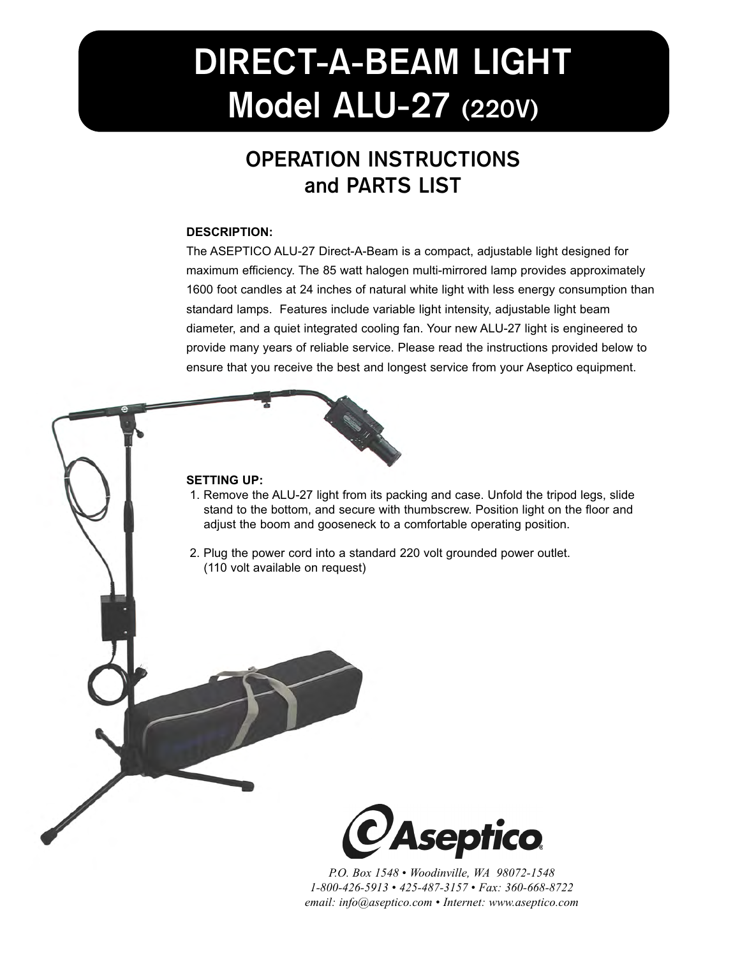# **DIRECT-A-BEAM LIGHT Model ALU-27 (220V)**

## **OPERATION INSTRUCTIONS and PARTS LIST**

#### **DESCRIPTION:**

The ASEPTICO ALU-27 Direct-A-Beam is a compact, adjustable light designed for maximum efficiency. The 85 watt halogen multi-mirrored lamp provides approximately 1600 foot candles at 24 inches of natural white light with less energy consumption than standard lamps. Features include variable light intensity, adjustable light beam diameter, and a quiet integrated cooling fan. Your new ALU-27 light is engineered to provide many years of reliable service. Please read the instructions provided below to ensure that you receive the best and longest service from your Aseptico equipment.



#### **SETTING UP:**

- 1. Remove the ALU-27 light from its packing and case. Unfold the tripod legs, slide stand to the bottom, and secure with thumbscrew. Position light on the floor and adjust the boom and gooseneck to a comfortable operating position.
- 2. Plug the power cord into a standard 220 volt grounded power outlet. (110 volt available on request)



*P.O. Box 1548 • Woodinville, WA 98072-1548 1-800-426-5913 • 425-487-3157 • Fax: 360-668-8722 email: info@aseptico.com • Internet: www.aseptico.com*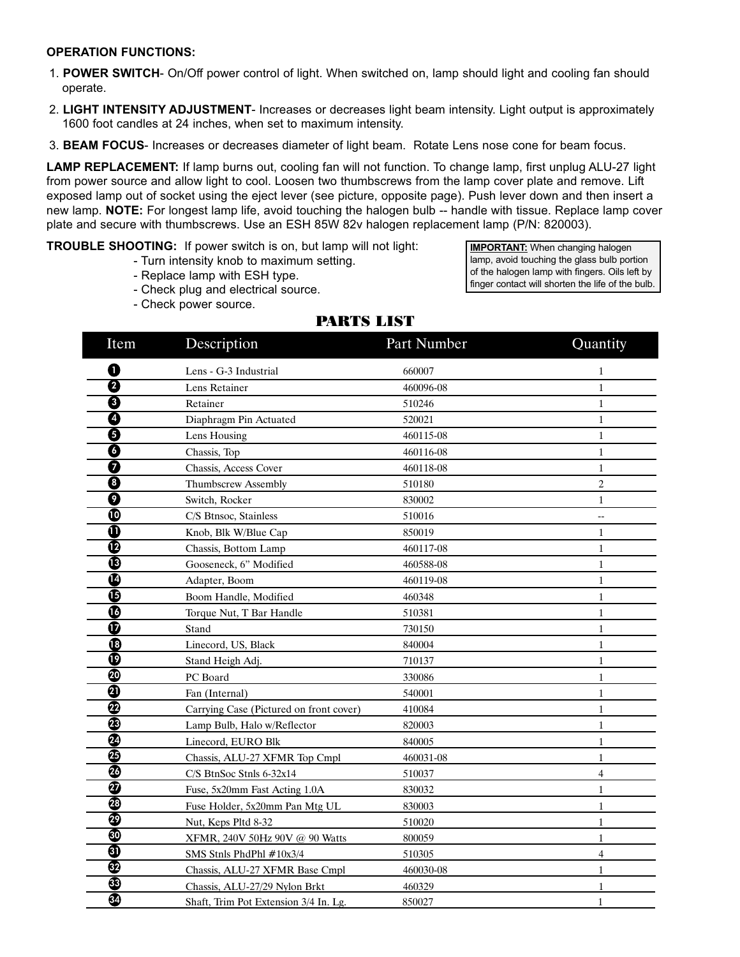#### **OPERATION FUNCTIONS:**

- 1. **POWER SWITCH** On/Off power control of light. When switched on, lamp should light and cooling fan should operate.
- 2. **LIGHT INTENSITY ADJUSTMENT** Increases or decreases light beam intensity. Light output is approximately 1600 foot candles at 24 inches, when set to maximum intensity.
- 3. **BEAM FOCUS** Increases or decreases diameter of light beam. Rotate Lens nose cone for beam focus.

**LAMP REPLACEMENT:** If lamp burns out, cooling fan will not function. To change lamp, first unplug ALU-27 light from power source and allow light to cool. Loosen two thumbscrews from the lamp cover plate and remove. Lift exposed lamp out of socket using the eject lever (see picture, opposite page). Push lever down and then insert a new lamp. **NOTE:** For longest lamp life, avoid touching the halogen bulb -- handle with tissue. Replace lamp cover plate and secure with thumbscrews. Use an ESH 85W 82v halogen replacement lamp (P/N: 820003).

**TROUBLE SHOOTING:** If power switch is on, but lamp will not light:

- Turn intensity knob to maximum setting.
- Replace lamp with ESH type.
- Check plug and electrical source.
- Check power source.

**IMPORTANT:** When changing halogen lamp, avoid touching the glass bulb portion of the halogen lamp with fingers. Oils left by finger contact will shorten the life of the bulb.

| Item                | Description                             | Part Number | Quantity       |
|---------------------|-----------------------------------------|-------------|----------------|
| 0                   | Lens - G-3 Industrial                   | 660007      | 1              |
| 0                   | Lens Retainer                           | 460096-08   | 1              |
| ❸                   | Retainer                                | 510246      | $\mathbf{1}$   |
| Ø                   | Diaphragm Pin Actuated                  | 520021      | $\mathbf{1}$   |
| 0                   | Lens Housing                            | 460115-08   | $\mathbf{1}$   |
| 0                   | Chassis, Top                            | 460116-08   | $\mathbf{1}$   |
| 0                   | Chassis, Access Cover                   | 460118-08   | $\mathbf{1}$   |
| ❸                   | Thumbscrew Assembly                     | 510180      | $\overline{c}$ |
| 0                   | Switch, Rocker                          | 830002      | $\mathbf{1}$   |
|                     | C/S Btnsoc, Stainless                   | 510016      | $-$            |
| ⋔                   | Knob, Blk W/Blue Cap                    | 850019      | 1              |
| ℗                   | Chassis, Bottom Lamp                    | 460117-08   | $\mathbf{1}$   |
| ®                   | Gooseneck, 6" Modified                  | 460588-08   | $\mathbf{1}$   |
| ❹                   | Adapter, Boom                           | 460119-08   | $\mathbf{1}$   |
| ₲                   | Boom Handle, Modified                   | 460348      | $\mathbf{1}$   |
| ❻                   | Torque Nut, T Bar Handle                | 510381      | $\mathbf{1}$   |
| ⊕                   | Stand                                   | 730150      | $\mathbf{1}$   |
| ®                   | Linecord, US, Black                     | 840004      | $\mathbf{1}$   |
| ℗                   | Stand Heigh Adj.                        | 710137      | $\mathbf{1}$   |
| ☎                   | PC Board                                | 330086      | $\mathbf{1}$   |
| ❹                   | Fan (Internal)                          | 540001      | 1              |
| ☎                   | Carrying Case (Pictured on front cover) | 410084      | 1              |
| ®                   | Lamp Bulb, Halo w/Reflector             | 820003      | $\mathbf{1}$   |
| ☎                   | Linecord, EURO Blk                      | 840005      | 1              |
| ⊕                   | Chassis, ALU-27 XFMR Top Cmpl           | 460031-08   | $\mathbf{1}$   |
| ☎                   | $C/S$ BtnSoc Stnls 6-32x14              | 510037      | $\overline{4}$ |
| $\overline{\bm{v}}$ | Fuse, 5x20mm Fast Acting 1.0A           | 830032      | 1              |
| ☎                   | Fuse Holder, 5x20mm Pan Mtg UL          | 830003      | $\mathbf{1}$   |
| ❸                   | Nut, Keps Pltd 8-32                     | 510020      | $\mathbf{1}$   |
| ◍                   | XFMR, 240V 50Hz 90V @ 90 Watts          | 800059      | $\mathbf{1}$   |
| ❹                   | SMS Stnls PhdPhl #10x3/4                | 510305      | 4              |
| ⊕                   | Chassis, ALU-27 XFMR Base Cmpl          | 460030-08   | $\mathbf{1}$   |
| ⊕                   | Chassis, ALU-27/29 Nylon Brkt           | 460329      | 1              |
| ❸                   | Shaft, Trim Pot Extension 3/4 In. Lg.   | 850027      | $\mathbf{1}$   |

#### PARTS LIST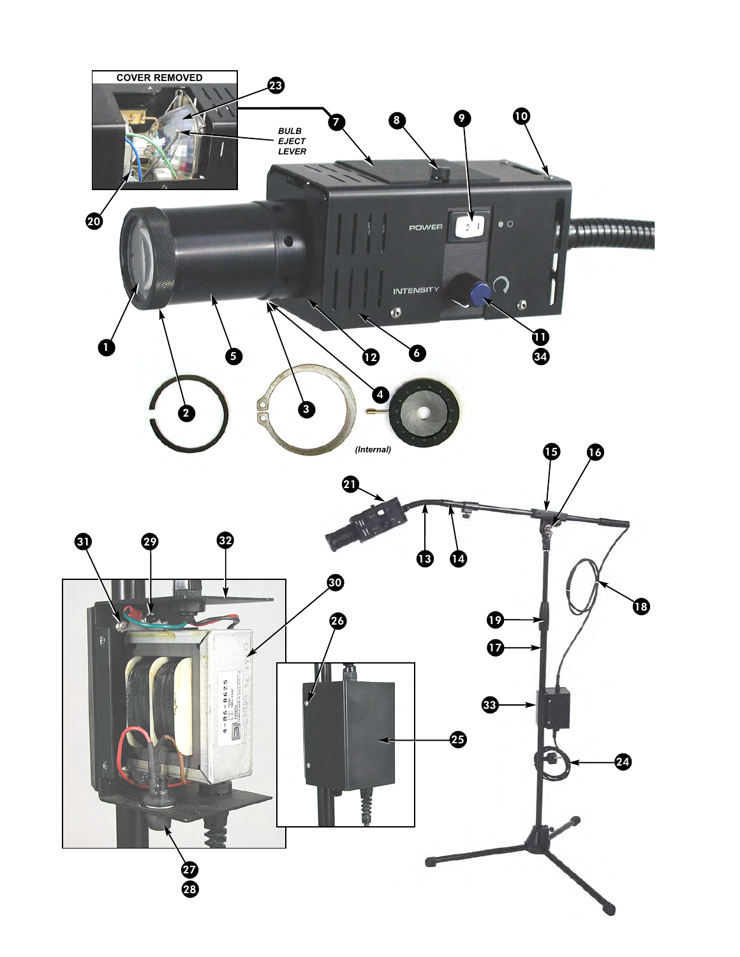